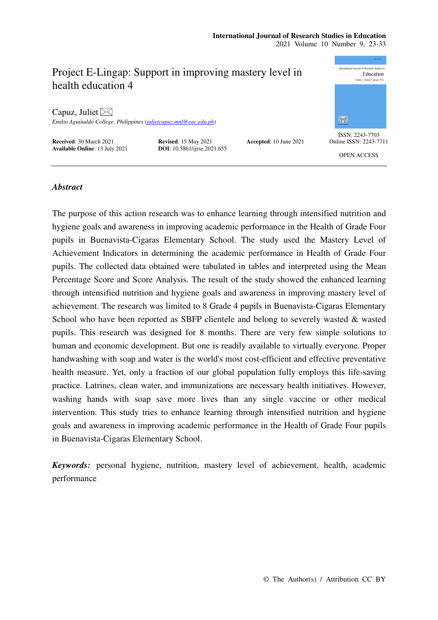# Project E-Lingap: Support in improving mastery level in health education 4

Capuz, Juliet  $\bowtie$ 

*Emilio Aguinaldo College, Philippines (julietcapuz.mnl@eac.edu.ph)* 

**Received:** 30 March 2021 **Revised: 15 May 2021 Accepted: 10 June 2021 Available Online:** 13 July 2021 **DOI:** 10.5861/ijrse.2021.655 **Available Online**: 13 July 2021



ISSN: 2243-7703 Online ISSN: 2243-7711

OPEN ACCESS

# *Abstract*

The purpose of this action research was to enhance learning through intensified nutrition and hygiene goals and awareness in improving academic performance in the Health of Grade Four pupils in Buenavista-Cigaras Elementary School. The study used the Mastery Level of Achievement Indicators in determining the academic performance in Health of Grade Four pupils. The collected data obtained were tabulated in tables and interpreted using the Mean Percentage Score and Score Analysis. The result of the study showed the enhanced learning through intensified nutrition and hygiene goals and awareness in improving mastery level of achievement. The research was limited to 8 Grade 4 pupils in Buenavista-Cigaras Elementary School who have been reported as SBFP clientele and belong to severely wasted & wasted pupils. This research was designed for 8 months. There are very few simple solutions to human and economic development. But one is readily available to virtually everyone. Proper handwashing with soap and water is the world's most cost-efficient and effective preventative health measure. Yet, only a fraction of our global population fully employs this life-saving practice. Latrines, clean water, and immunizations are necessary health initiatives. However, washing hands with soap save more lives than any single vaccine or other medical intervention. This study tries to enhance learning through intensified nutrition and hygiene goals and awareness in improving academic performance in the Health of Grade Four pupils in Buenavista-Cigaras Elementary School.

*Keywords:* personal hygiene, nutrition, mastery level of achievement, health, academic performance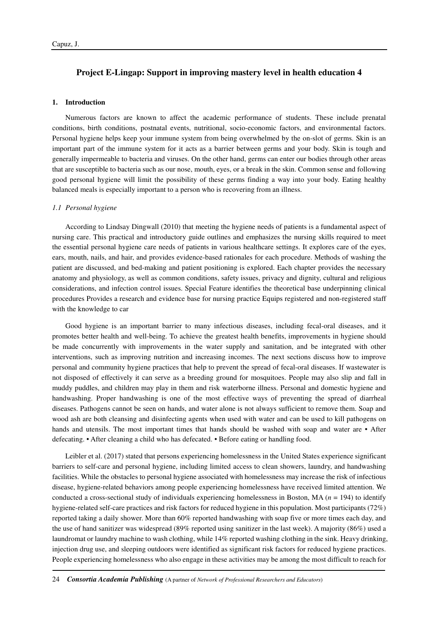# **Project E-Lingap: Support in improving mastery level in health education 4**

#### **1. Introduction**

Numerous factors are known to affect the academic performance of students. These include prenatal conditions, birth conditions, postnatal events, nutritional, socio-economic factors, and environmental factors. Personal hygiene helps keep your immune system from being overwhelmed by the on-slot of germs. Skin is an important part of the immune system for it acts as a barrier between germs and your body. Skin is tough and generally impermeable to bacteria and viruses. On the other hand, germs can enter our bodies through other areas that are susceptible to bacteria such as our nose, mouth, eyes, or a break in the skin. Common sense and following good personal hygiene will limit the possibility of these germs finding a way into your body. Eating healthy balanced meals is especially important to a person who is recovering from an illness.

#### *1.1 Personal hygiene*

According to Lindsay Dingwall (2010) that meeting the hygiene needs of patients is a fundamental aspect of nursing care. This practical and introductory guide outlines and emphasizes the nursing skills required to meet the essential personal hygiene care needs of patients in various healthcare settings. It explores care of the eyes, ears, mouth, nails, and hair, and provides evidence-based rationales for each procedure. Methods of washing the patient are discussed, and bed-making and patient positioning is explored. Each chapter provides the necessary anatomy and physiology, as well as common conditions, safety issues, privacy and dignity, cultural and religious considerations, and infection control issues. Special Feature identifies the theoretical base underpinning clinical procedures Provides a research and evidence base for nursing practice Equips registered and non-registered staff with the knowledge to car

Good hygiene is an important barrier to many infectious diseases, including fecal-oral diseases, and it promotes better health and well-being. To achieve the greatest health benefits, improvements in hygiene should be made concurrently with improvements in the water supply and sanitation, and be integrated with other interventions, such as improving nutrition and increasing incomes. The next sections discuss how to improve personal and community hygiene practices that help to prevent the spread of fecal-oral diseases. If wastewater is not disposed of effectively it can serve as a breeding ground for mosquitoes. People may also slip and fall in muddy puddles, and children may play in them and risk waterborne illness. Personal and domestic hygiene and handwashing. Proper handwashing is one of the most effective ways of preventing the spread of diarrheal diseases. Pathogens cannot be seen on hands, and water alone is not always sufficient to remove them. Soap and wood ash are both cleansing and disinfecting agents when used with water and can be used to kill pathogens on hands and utensils. The most important times that hands should be washed with soap and water are • After defecating. • After cleaning a child who has defecated. • Before eating or handling food.

Leibler et al. (2017) stated that persons experiencing homelessness in the United States experience significant barriers to self-care and personal hygiene, including limited access to clean showers, laundry, and handwashing facilities. While the obstacles to personal hygiene associated with homelessness may increase the risk of infectious disease, hygiene-related behaviors among people experiencing homelessness have received limited attention. We conducted a cross-sectional study of individuals experiencing homelessness in Boston, MA  $(n = 194)$  to identify hygiene-related self-care practices and risk factors for reduced hygiene in this population. Most participants (72%) reported taking a daily shower. More than 60% reported handwashing with soap five or more times each day, and the use of hand sanitizer was widespread (89% reported using sanitizer in the last week). A majority (86%) used a laundromat or laundry machine to wash clothing, while 14% reported washing clothing in the sink. Heavy drinking, injection drug use, and sleeping outdoors were identified as significant risk factors for reduced hygiene practices. People experiencing homelessness who also engage in these activities may be among the most difficult to reach for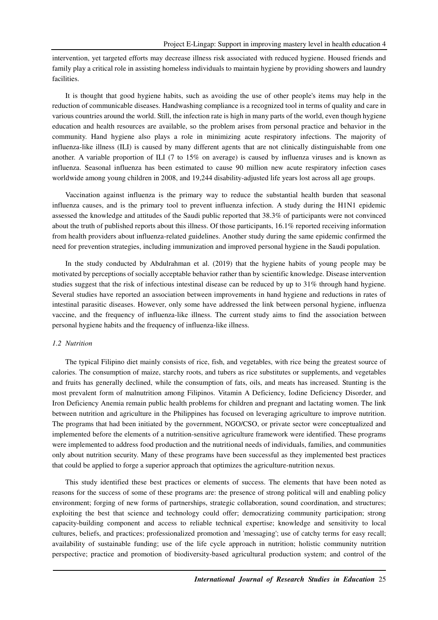intervention, yet targeted efforts may decrease illness risk associated with reduced hygiene. Housed friends and family play a critical role in assisting homeless individuals to maintain hygiene by providing showers and laundry facilities.

It is thought that good hygiene habits, such as avoiding the use of other people's items may help in the reduction of communicable diseases. Handwashing compliance is a recognized tool in terms of quality and care in various countries around the world. Still, the infection rate is high in many parts of the world, even though hygiene education and health resources are available, so the problem arises from personal practice and behavior in the community. Hand hygiene also plays a role in minimizing acute respiratory infections. The majority of influenza-like illness (ILI) is caused by many different agents that are not clinically distinguishable from one another. A variable proportion of ILI (7 to 15% on average) is caused by influenza viruses and is known as influenza. Seasonal influenza has been estimated to cause 90 million new acute respiratory infection cases worldwide among young children in 2008, and 19,244 disability-adjusted life years lost across all age groups.

Vaccination against influenza is the primary way to reduce the substantial health burden that seasonal influenza causes, and is the primary tool to prevent influenza infection. A study during the H1N1 epidemic assessed the knowledge and attitudes of the Saudi public reported that 38.3% of participants were not convinced about the truth of published reports about this illness. Of those participants, 16.1% reported receiving information from health providers about influenza-related guidelines. Another study during the same epidemic confirmed the need for prevention strategies, including immunization and improved personal hygiene in the Saudi population.

In the study conducted by Abdulrahman et al. (2019) that the hygiene habits of young people may be motivated by perceptions of socially acceptable behavior rather than by scientific knowledge. Disease intervention studies suggest that the risk of infectious intestinal disease can be reduced by up to 31% through hand hygiene. Several studies have reported an association between improvements in hand hygiene and reductions in rates of intestinal parasitic diseases. However, only some have addressed the link between personal hygiene, influenza vaccine, and the frequency of influenza-like illness. The current study aims to find the association between personal hygiene habits and the frequency of influenza-like illness.

#### *1.2 Nutrition*

The typical Filipino diet mainly consists of rice, fish, and vegetables, with rice being the greatest source of calories. The consumption of maize, starchy roots, and tubers as rice substitutes or supplements, and vegetables and fruits has generally declined, while the consumption of fats, oils, and meats has increased. Stunting is the most prevalent form of malnutrition among Filipinos. Vitamin A Deficiency, Iodine Deficiency Disorder, and Iron Deficiency Anemia remain public health problems for children and pregnant and lactating women. The link between nutrition and agriculture in the Philippines has focused on leveraging agriculture to improve nutrition. The programs that had been initiated by the government, NGO/CSO, or private sector were conceptualized and implemented before the elements of a nutrition-sensitive agriculture framework were identified. These programs were implemented to address food production and the nutritional needs of individuals, families, and communities only about nutrition security. Many of these programs have been successful as they implemented best practices that could be applied to forge a superior approach that optimizes the agriculture-nutrition nexus.

This study identified these best practices or elements of success. The elements that have been noted as reasons for the success of some of these programs are: the presence of strong political will and enabling policy environment; forging of new forms of partnerships, strategic collaboration, sound coordination, and structures; exploiting the best that science and technology could offer; democratizing community participation; strong capacity-building component and access to reliable technical expertise; knowledge and sensitivity to local cultures, beliefs, and practices; professionalized promotion and 'messaging'; use of catchy terms for easy recall; availability of sustainable funding; use of the life cycle approach in nutrition; holistic community nutrition perspective; practice and promotion of biodiversity-based agricultural production system; and control of the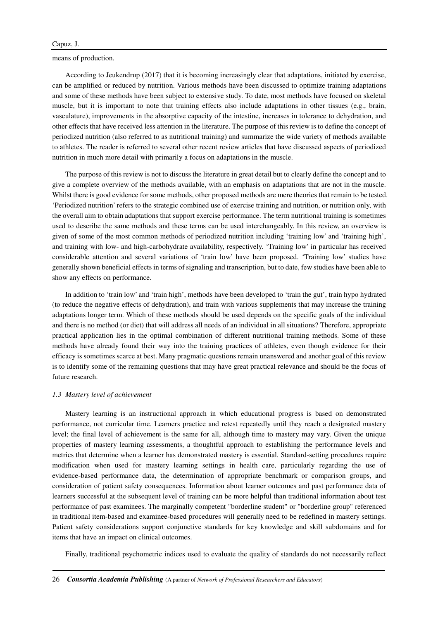means of production.

According to Jeukendrup (2017) that it is becoming increasingly clear that adaptations, initiated by exercise, can be amplified or reduced by nutrition. Various methods have been discussed to optimize training adaptations and some of these methods have been subject to extensive study. To date, most methods have focused on skeletal muscle, but it is important to note that training effects also include adaptations in other tissues (e.g., brain, vasculature), improvements in the absorptive capacity of the intestine, increases in tolerance to dehydration, and other effects that have received less attention in the literature. The purpose of this review is to define the concept of periodized nutrition (also referred to as nutritional training) and summarize the wide variety of methods available to athletes. The reader is referred to several other recent review articles that have discussed aspects of periodized nutrition in much more detail with primarily a focus on adaptations in the muscle.

The purpose of this review is not to discuss the literature in great detail but to clearly define the concept and to give a complete overview of the methods available, with an emphasis on adaptations that are not in the muscle. Whilst there is good evidence for some methods, other proposed methods are mere theories that remain to be tested. 'Periodized nutrition' refers to the strategic combined use of exercise training and nutrition, or nutrition only, with the overall aim to obtain adaptations that support exercise performance. The term nutritional training is sometimes used to describe the same methods and these terms can be used interchangeably. In this review, an overview is given of some of the most common methods of periodized nutrition including 'training low' and 'training high', and training with low- and high-carbohydrate availability, respectively. 'Training low' in particular has received considerable attention and several variations of 'train low' have been proposed. 'Training low' studies have generally shown beneficial effects in terms of signaling and transcription, but to date, few studies have been able to show any effects on performance.

In addition to 'train low' and 'train high', methods have been developed to 'train the gut', train hypo hydrated (to reduce the negative effects of dehydration), and train with various supplements that may increase the training adaptations longer term. Which of these methods should be used depends on the specific goals of the individual and there is no method (or diet) that will address all needs of an individual in all situations? Therefore, appropriate practical application lies in the optimal combination of different nutritional training methods. Some of these methods have already found their way into the training practices of athletes, even though evidence for their efficacy is sometimes scarce at best. Many pragmatic questions remain unanswered and another goal of this review is to identify some of the remaining questions that may have great practical relevance and should be the focus of future research.

#### *1.3 Mastery level of achievement*

Mastery learning is an instructional approach in which educational progress is based on demonstrated performance, not curricular time. Learners practice and retest repeatedly until they reach a designated mastery level; the final level of achievement is the same for all, although time to mastery may vary. Given the unique properties of mastery learning assessments, a thoughtful approach to establishing the performance levels and metrics that determine when a learner has demonstrated mastery is essential. Standard-setting procedures require modification when used for mastery learning settings in health care, particularly regarding the use of evidence-based performance data, the determination of appropriate benchmark or comparison groups, and consideration of patient safety consequences. Information about learner outcomes and past performance data of learners successful at the subsequent level of training can be more helpful than traditional information about test performance of past examinees. The marginally competent "borderline student" or "borderline group" referenced in traditional item-based and examinee-based procedures will generally need to be redefined in mastery settings. Patient safety considerations support conjunctive standards for key knowledge and skill subdomains and for items that have an impact on clinical outcomes.

Finally, traditional psychometric indices used to evaluate the quality of standards do not necessarily reflect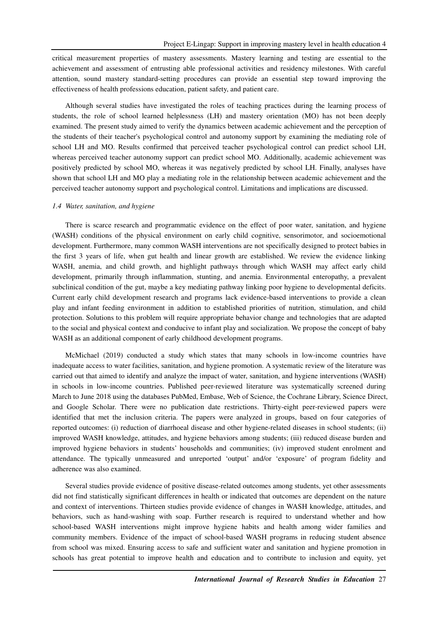critical measurement properties of mastery assessments. Mastery learning and testing are essential to the achievement and assessment of entrusting able professional activities and residency milestones. With careful attention, sound mastery standard-setting procedures can provide an essential step toward improving the effectiveness of health professions education, patient safety, and patient care.

Although several studies have investigated the roles of teaching practices during the learning process of students, the role of school learned helplessness (LH) and mastery orientation (MO) has not been deeply examined. The present study aimed to verify the dynamics between academic achievement and the perception of the students of their teacher's psychological control and autonomy support by examining the mediating role of school LH and MO. Results confirmed that perceived teacher psychological control can predict school LH, whereas perceived teacher autonomy support can predict school MO. Additionally, academic achievement was positively predicted by school MO, whereas it was negatively predicted by school LH. Finally, analyses have shown that school LH and MO play a mediating role in the relationship between academic achievement and the perceived teacher autonomy support and psychological control. Limitations and implications are discussed.

#### *1.4 Water, sanitation, and hygiene*

There is scarce research and programmatic evidence on the effect of poor water, sanitation, and hygiene (WASH) conditions of the physical environment on early child cognitive, sensorimotor, and socioemotional development. Furthermore, many common WASH interventions are not specifically designed to protect babies in the first 3 years of life, when gut health and linear growth are established. We review the evidence linking WASH, anemia, and child growth, and highlight pathways through which WASH may affect early child development, primarily through inflammation, stunting, and anemia. Environmental enteropathy, a prevalent subclinical condition of the gut, maybe a key mediating pathway linking poor hygiene to developmental deficits. Current early child development research and programs lack evidence-based interventions to provide a clean play and infant feeding environment in addition to established priorities of nutrition, stimulation, and child protection. Solutions to this problem will require appropriate behavior change and technologies that are adapted to the social and physical context and conducive to infant play and socialization. We propose the concept of baby WASH as an additional component of early childhood development programs.

McMichael (2019) conducted a study which states that many schools in low-income countries have inadequate access to water facilities, sanitation, and hygiene promotion. A systematic review of the literature was carried out that aimed to identify and analyze the impact of water, sanitation, and hygiene interventions (WASH) in schools in low-income countries. Published peer-reviewed literature was systematically screened during March to June 2018 using the databases PubMed, Embase, Web of Science, the Cochrane Library, Science Direct, and Google Scholar. There were no publication date restrictions. Thirty-eight peer-reviewed papers were identified that met the inclusion criteria. The papers were analyzed in groups, based on four categories of reported outcomes: (i) reduction of diarrhoeal disease and other hygiene-related diseases in school students; (ii) improved WASH knowledge, attitudes, and hygiene behaviors among students; (iii) reduced disease burden and improved hygiene behaviors in students' households and communities; (iv) improved student enrolment and attendance. The typically unmeasured and unreported 'output' and/or 'exposure' of program fidelity and adherence was also examined.

Several studies provide evidence of positive disease-related outcomes among students, yet other assessments did not find statistically significant differences in health or indicated that outcomes are dependent on the nature and context of interventions. Thirteen studies provide evidence of changes in WASH knowledge, attitudes, and behaviors, such as hand-washing with soap. Further research is required to understand whether and how school-based WASH interventions might improve hygiene habits and health among wider families and community members. Evidence of the impact of school-based WASH programs in reducing student absence from school was mixed. Ensuring access to safe and sufficient water and sanitation and hygiene promotion in schools has great potential to improve health and education and to contribute to inclusion and equity, yet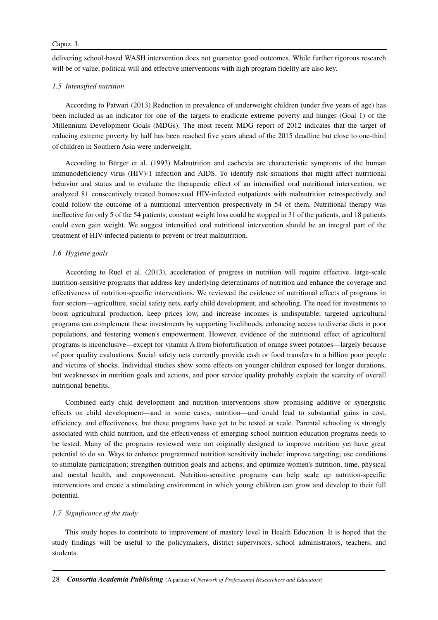delivering school-based WASH intervention does not guarantee good outcomes. While further rigorous research will be of value, political will and effective interventions with high program fidelity are also key.

#### *1.5 Intensified nutrition*

According to Patwari (2013) Reduction in prevalence of underweight children (under five years of age) has been included as an indicator for one of the targets to eradicate extreme poverty and hunger (Goal 1) of the Millennium Development Goals (MDGs). The most recent MDG report of 2012 indicates that the target of reducing extreme poverty by half has been reached five years ahead of the 2015 deadline but close to one-third of children in Southern Asia were underweight.

According to Bürger et al. (1993) Malnutrition and cachexia are characteristic symptoms of the human immunodeficiency virus (HIV)-1 infection and AIDS. To identify risk situations that might affect nutritional behavior and status and to evaluate the therapeutic effect of an intensified oral nutritional intervention, we analyzed 81 consecutively treated homosexual HIV-infected outpatients with malnutrition retrospectively and could follow the outcome of a nutritional intervention prospectively in 54 of them. Nutritional therapy was ineffective for only 5 of the 54 patients; constant weight loss could be stopped in 31 of the patients, and 18 patients could even gain weight. We suggest intensified oral nutritional intervention should be an integral part of the treatment of HIV-infected patients to prevent or treat malnutrition.

#### *1.6 Hygiene goals*

According to Ruel et al. (2013), acceleration of progress in nutrition will require effective, large-scale nutrition-sensitive programs that address key underlying determinants of nutrition and enhance the coverage and effectiveness of nutrition-specific interventions. We reviewed the evidence of nutritional effects of programs in four sectors—agriculture, social safety nets, early child development, and schooling. The need for investments to boost agricultural production, keep prices low, and increase incomes is undisputable; targeted agricultural programs can complement these investments by supporting livelihoods, enhancing access to diverse diets in poor populations, and fostering women's empowerment. However, evidence of the nutritional effect of agricultural programs is inconclusive—except for vitamin A from biofortification of orange sweet potatoes—largely because of poor quality evaluations. Social safety nets currently provide cash or food transfers to a billion poor people and victims of shocks. Individual studies show some effects on younger children exposed for longer durations, but weaknesses in nutrition goals and actions, and poor service quality probably explain the scarcity of overall nutritional benefits.

Combined early child development and nutrition interventions show promising additive or synergistic effects on child development—and in some cases, nutrition—and could lead to substantial gains in cost, efficiency, and effectiveness, but these programs have yet to be tested at scale. Parental schooling is strongly associated with child nutrition, and the effectiveness of emerging school nutrition education programs needs to be tested. Many of the programs reviewed were not originally designed to improve nutrition yet have great potential to do so. Ways to enhance programmed nutrition sensitivity include: improve targeting; use conditions to stimulate participation; strengthen nutrition goals and actions; and optimize women's nutrition, time, physical and mental health, and empowerment. Nutrition-sensitive programs can help scale up nutrition-specific interventions and create a stimulating environment in which young children can grow and develop to their full potential.

#### *1.7 Significance of the study*

This study hopes to contribute to improvement of mastery level in Health Education. It is hoped that the study findings will be useful to the policymakers, district supervisors, school administrators, teachers, and students.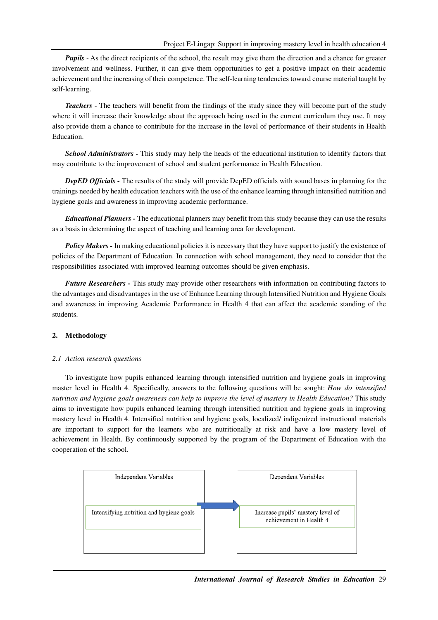*Pupils* - As the direct recipients of the school, the result may give them the direction and a chance for greater involvement and wellness. Further, it can give them opportunities to get a positive impact on their academic achievement and the increasing of their competence. The self-learning tendencies toward course material taught by self-learning.

*Teachers* - The teachers will benefit from the findings of the study since they will become part of the study where it will increase their knowledge about the approach being used in the current curriculum they use. It may also provide them a chance to contribute for the increase in the level of performance of their students in Health Education.

*School Administrators -* This study may help the heads of the educational institution to identify factors that may contribute to the improvement of school and student performance in Health Education.

*DepED Officials -* The results of the study will provide DepED officials with sound bases in planning for the trainings needed by health education teachers with the use of the enhance learning through intensified nutrition and hygiene goals and awareness in improving academic performance.

*Educational Planners -* The educational planners may benefit from this study because they can use the results as a basis in determining the aspect of teaching and learning area for development.

*Policy Makers - In making educational policies it is necessary that they have support to justify the existence of* policies of the Department of Education. In connection with school management, they need to consider that the responsibilities associated with improved learning outcomes should be given emphasis.

*Future Researchers -* This study may provide other researchers with information on contributing factors to the advantages and disadvantages in the use of Enhance Learning through Intensified Nutrition and Hygiene Goals and awareness in improving Academic Performance in Health 4 that can affect the academic standing of the students.

## **2. Methodology**

#### *2.1 Action research questions*

To investigate how pupils enhanced learning through intensified nutrition and hygiene goals in improving master level in Health 4. Specifically, answers to the following questions will be sought: *How do intensified nutrition and hygiene goals awareness can help to improve the level of mastery in Health Education?* This study aims to investigate how pupils enhanced learning through intensified nutrition and hygiene goals in improving mastery level in Health 4. Intensified nutrition and hygiene goals, localized/ indigenized instructional materials are important to support for the learners who are nutritionally at risk and have a low mastery level of achievement in Health. By continuously supported by the program of the Department of Education with the cooperation of the school.



*International Journal of Research Studies in Education* 29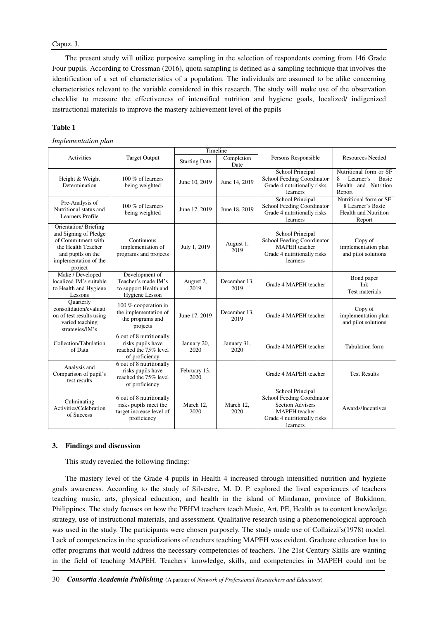#### Capuz, J.

The present study will utilize purposive sampling in the selection of respondents coming from 146 Grade Four pupils. According to Crossman (2016), quota sampling is defined as a sampling technique that involves the identification of a set of characteristics of a population. The individuals are assumed to be alike concerning characteristics relevant to the variable considered in this research. The study will make use of the observation checklist to measure the effectiveness of intensified nutrition and hygiene goals, localized/ indigenized instructional materials to improve the mastery achievement level of the pupils

## **Table 1**

*Implementation plan* 

|                                                                                                                                                    |                                                                                              | Timeline                                   |                      |                                                                                                                                              |                                                                                            |  |
|----------------------------------------------------------------------------------------------------------------------------------------------------|----------------------------------------------------------------------------------------------|--------------------------------------------|----------------------|----------------------------------------------------------------------------------------------------------------------------------------------|--------------------------------------------------------------------------------------------|--|
| Activities                                                                                                                                         | <b>Target Output</b>                                                                         | Completion<br><b>Starting Date</b><br>Date |                      | Persons Responsible                                                                                                                          | <b>Resources Needed</b>                                                                    |  |
| Height & Weight<br>Determination                                                                                                                   | 100 % of learners<br>being weighted                                                          | June 10, 2019                              | June 14, 2019        | School Principal<br>School Feeding Coordinator<br>Grade 4 nutritionally risks<br>learners                                                    | Nutritional form or SF<br>8<br>Learner's<br><b>Basic</b><br>Health and Nutrition<br>Report |  |
| Pre-Analysis of<br>Nutritional status and<br>Learners Profile                                                                                      | 100 % of learners<br>being weighted                                                          | June 17, 2019                              | June 18, 2019        | School Principal<br>School Feeding Coordinator<br>Grade 4 nutritionally risks<br>learners                                                    | Nutritional form or SF<br>8 Learner's Basic<br><b>Health and Nutrition</b><br>Report       |  |
| Orientation/Briefing<br>and Signing of Pledge<br>of Commitment with<br>the Health Teacher<br>and pupils on the<br>implementation of the<br>project | Continuous<br>implementation of<br>programs and projects                                     | July 1, 2019                               | August 1,<br>2019    | School Principal<br>School Feeding Coordinator<br><b>MAPEH</b> teacher<br>Grade 4 nutritionally risks<br>learners                            | Copy of<br>implementation plan<br>and pilot solutions                                      |  |
| Make / Developed<br>localized IM's suitable<br>to Health and Hygiene<br>Lessons                                                                    | Development of<br>Teacher's made IM's<br>to support Health and<br>Hygiene Lesson             | August 2,<br>2019                          | December 13.<br>2019 | Grade 4 MAPEH teacher                                                                                                                        | Bond paper<br>Ink<br>Test materials                                                        |  |
| Quarterly<br>consolidation/evaluati<br>on of test results using<br>varied teaching<br>strategies/IM's                                              | 100 % cooperation in<br>the implementation of<br>the programs and<br>projects                | June 17, 2019                              | December 13.<br>2019 | Grade 4 MAPEH teacher                                                                                                                        | Copy of<br>implementation plan<br>and pilot solutions                                      |  |
| Collection/Tabulation<br>of Data                                                                                                                   | 6 out of 8 nutritionally<br>risks pupils have<br>reached the 75% level<br>of proficiency     | January 20,<br>2020                        | January 31,<br>2020  | Grade 4 MAPEH teacher                                                                                                                        | <b>Tabulation</b> form                                                                     |  |
| Analysis and<br>Comparison of pupil's<br>test results                                                                                              | 6 out of 8 nutritionally<br>risks pupils have<br>reached the 75% level<br>of proficiency     | February 13,<br>2020                       |                      | Grade 4 MAPEH teacher                                                                                                                        | <b>Test Results</b>                                                                        |  |
| Culminating<br>Activities/Celebration<br>of Success                                                                                                | 6 out of 8 nutritionally<br>risks pupils meet the<br>target increase level of<br>proficiency | March 12,<br>2020                          | March 12,<br>2020    | School Principal<br>School Feeding Coordinator<br><b>Section Advisers</b><br><b>MAPEH</b> teacher<br>Grade 4 nutritionally risks<br>learners | Awards/Incentives                                                                          |  |

### **3. Findings and discussion**

This study revealed the following finding:

The mastery level of the Grade 4 pupils in Health 4 increased through intensified nutrition and hygiene goals awareness. According to the study of Silvestre, M. D. P. explored the lived experiences of teachers teaching music, arts, physical education, and health in the island of Mindanao, province of Bukidnon, Philippines. The study focuses on how the PEHM teachers teach Music, Art, PE, Health as to content knowledge, strategy, use of instructional materials, and assessment. Qualitative research using a phenomenological approach was used in the study. The participants were chosen purposely. The study made use of Collaizzi's(1978) model. Lack of competencies in the specializations of teachers teaching MAPEH was evident. Graduate education has to offer programs that would address the necessary competencies of teachers. The 21st Century Skills are wanting in the field of teaching MAPEH. Teachers' knowledge, skills, and competencies in MAPEH could not be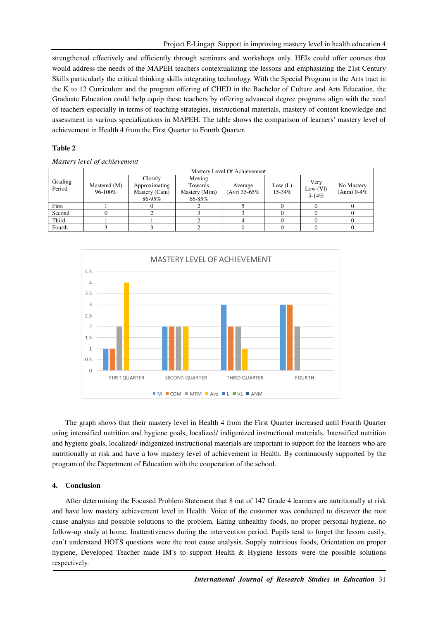strengthened effectively and efficiently through seminars and workshops only. HEIs could offer courses that would address the needs of the MAPEH teachers contextualizing the lessons and emphasizing the 21st Century Skills particularly the critical thinking skills integrating technology. With the Special Program in the Arts tract in the K to 12 Curriculum and the program offering of CHED in the Bachelor of Culture and Arts Education, the Graduate Education could help equip these teachers by offering advanced degree programs align with the need of teachers especially in terms of teaching strategies, instructional materials, mastery of content knowledge and assessment in various specializations in MAPEH. The table shows the comparison of learners' mastery level of achievement in Health 4 from the First Quarter to Fourth Quarter.

# **Table 2**

*Mastery level of achievement* 

| Grading<br>Period | Mastery Level Of Achievement |                                                     |                                              |                         |                   |                                |                            |  |  |  |
|-------------------|------------------------------|-----------------------------------------------------|----------------------------------------------|-------------------------|-------------------|--------------------------------|----------------------------|--|--|--|
|                   | Mastered (M)<br>96-100%      | Closely<br>Approximating<br>Mastery (Cam)<br>86-95% | Moving<br>Towards<br>Mastery (Mtm)<br>66-85% | Average<br>(Avr) 35-65% | Low (L)<br>15-34% | Very<br>Low (VI)<br>$5 - 14\%$ | No Mastery<br>$(Anm)$ 0-4% |  |  |  |
| First             |                              |                                                     |                                              |                         |                   |                                |                            |  |  |  |
| Second            |                              |                                                     |                                              |                         |                   |                                |                            |  |  |  |
| Third             |                              |                                                     |                                              |                         |                   |                                |                            |  |  |  |
| Fourth            |                              |                                                     |                                              |                         |                   |                                |                            |  |  |  |



The graph shows that their mastery level in Health 4 from the First Quarter increased until Fourth Quarter using intensified nutrition and hygiene goals, localized/ indigenized instructional materials. Intensified nutrition and hygiene goals, localized/ indigenized instructional materials are important to support for the learners who are nutritionally at risk and have a low mastery level of achievement in Health. By continuously supported by the program of the Department of Education with the cooperation of the school.

# **4. Conclusion**

After determining the Focused Problem Statement that 8 out of 147 Grade 4 learners are nutritionally at risk and have low mastery achievement level in Health. Voice of the customer was conducted to discover the root cause analysis and possible solutions to the problem. Eating unhealthy foods, no proper personal hygiene, no follow-up study at home, Inattentiveness during the intervention period, Pupils tend to forget the lesson easily, can't understand HOTS questions were the root cause analysis. Supply nutritious foods, Orientation on proper hygiene, Developed Teacher made IM's to support Health & Hygiene lessons were the possible solutions respectively.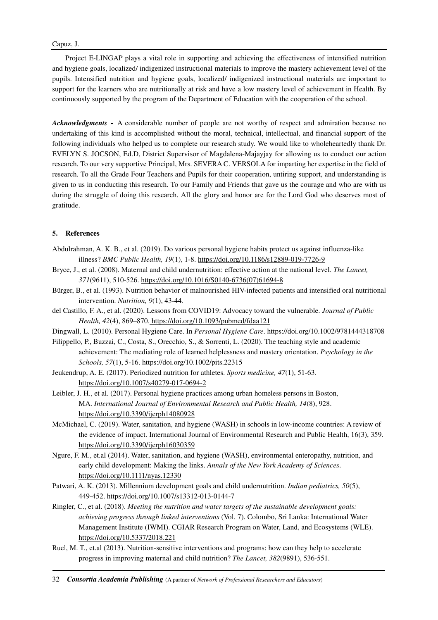## Capuz, J.

Project E-LINGAP plays a vital role in supporting and achieving the effectiveness of intensified nutrition and hygiene goals, localized/ indigenized instructional materials to improve the mastery achievement level of the pupils. Intensified nutrition and hygiene goals, localized/ indigenized instructional materials are important to support for the learners who are nutritionally at risk and have a low mastery level of achievement in Health. By continuously supported by the program of the Department of Education with the cooperation of the school.

*Acknowledgments -* A considerable number of people are not worthy of respect and admiration because no undertaking of this kind is accomplished without the moral, technical, intellectual, and financial support of the following individuals who helped us to complete our research study. We would like to wholeheartedly thank Dr. EVELYN S. JOCSON, Ed.D, District Supervisor of Magdalena-Majayjay for allowing us to conduct our action research. To our very supportive Principal, Mrs. SEVERA C. VERSOLA for imparting her expertise in the field of research. To all the Grade Four Teachers and Pupils for their cooperation, untiring support, and understanding is given to us in conducting this research. To our Family and Friends that gave us the courage and who are with us during the struggle of doing this research. All the glory and honor are for the Lord God who deserves most of gratitude.

# **5. References**

- Abdulrahman, A. K. B., et al. (2019). Do various personal hygiene habits protect us against influenza-like illness? *BMC Public Health, 19*(1), 1-8. https://doi.org/10.1186/s12889-019-7726-9
- Bryce, J., et al. (2008). Maternal and child undernutrition: effective action at the national level. *The Lancet, 371*(9611), 510-526. https://doi.org/10.1016/S0140-6736(07)61694-8
- Bürger, B., et al. (1993). Nutrition behavior of malnourished HIV-infected patients and intensified oral nutritional intervention. *Nutrition, 9*(1), 43-44.
- del Castillo, F. A., et al. (2020). Lessons from COVID19: Advocacy toward the vulnerable. *Journal of Public Health, 42*(4), 869–870. https://doi.org/10.1093/pubmed/fdaa121
- Dingwall, L. (2010). Personal Hygiene Care. In *Personal Hygiene Care*. https://doi.org/10.1002/9781444318708
- Filippello, P., Buzzai, C., Costa, S., Orecchio, S., & Sorrenti, L. (2020). The teaching style and academic achievement: The mediating role of learned helplessness and mastery orientation. *Psychology in the Schools, 57*(1), 5-16. https://doi.org/10.1002/pits.22315
- Jeukendrup, A. E. (2017). Periodized nutrition for athletes. *Sports medicine, 47*(1), 51-63. https://doi.org/10.1007/s40279-017-0694-2
- Leibler, J. H., et al. (2017). Personal hygiene practices among urban homeless persons in Boston, MA. *International Journal of Environmental Research and Public Health, 14*(8), 928. https://doi.org/10.3390/ijerph14080928
- McMichael, C. (2019). Water, sanitation, and hygiene (WASH) in schools in low-income countries: A review of the evidence of impact. International Journal of Environmental Research and Public Health, 16(3), 359. https://doi.org/10.3390/ijerph16030359
- Ngure, F. M., et.al (2014). Water, sanitation, and hygiene (WASH), environmental enteropathy, nutrition, and early child development: Making the links. *Annals of the New York Academy of Sciences*. https://doi.org/10.1111/nyas.12330
- Patwari, A. K. (2013). Millennium development goals and child undernutrition. *Indian pediatrics, 50*(5), 449-452. https://doi.org/10.1007/s13312-013-0144-7
- Ringler, C., et al. (2018). *Meeting the nutrition and water targets of the sustainable development goals: achieving progress through linked interventions* (Vol. 7). Colombo, Sri Lanka: International Water Management Institute (IWMI). CGIAR Research Program on Water, Land, and Ecosystems (WLE). https://doi.org/10.5337/2018.221
- Ruel, M. T., et.al (2013). Nutrition-sensitive interventions and programs: how can they help to accelerate progress in improving maternal and child nutrition? *The Lancet, 382*(9891), 536-551.